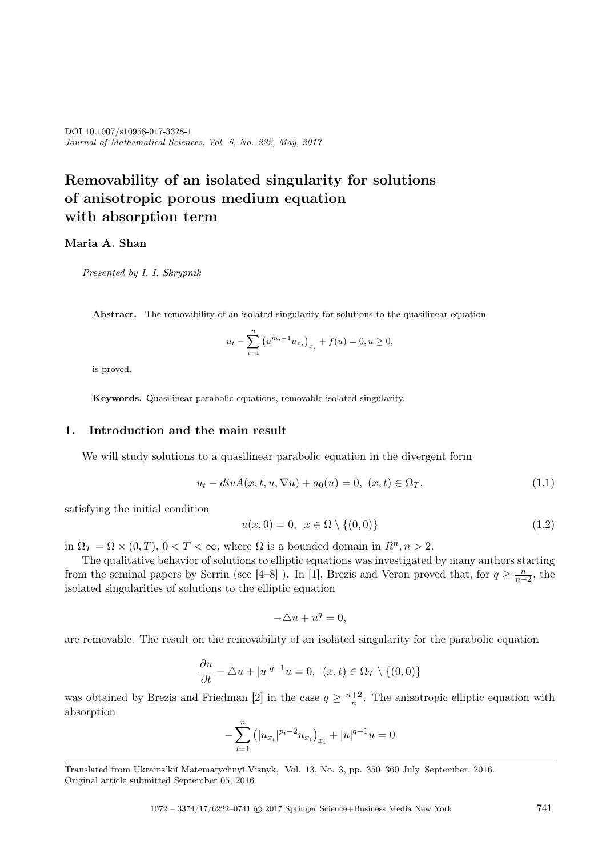*Journal of Mathematical Sciences*, *Vol. 6, No. 222, May, 2017* DOI 10.1007/s10958-017-3328-1

# **Removability of an isolated singularity for solutions of anisotropic porous medium equation with absorption term**

Maria A. Shan

*Presented by I. I. Skrypnik*

Abstract. The removability of an isolated singularity for solutions to the quasilinear equation

$$
u_t - \sum_{i=1}^n (u^{m_i - 1} u_{x_i})_{x_i} + f(u) = 0, u \ge 0,
$$

is proved.

Keywords. Quasilinear parabolic equations, removable isolated singularity.

## **1. Introduction and the main result**

We will study solutions to a quasilinear parabolic equation in the divergent form

$$
u_t - div A(x, t, u, \nabla u) + a_0(u) = 0, \ (x, t) \in \Omega_T,
$$
\n(1.1)

satisfying the initial condition

$$
u(x,0) = 0, \ x \in \Omega \setminus \{(0,0)\}\tag{1.2}
$$

in  $\Omega_T = \Omega \times (0, T)$ ,  $0 < T < \infty$ , where  $\Omega$  is a bounded domain in  $R^n, n > 2$ .

The qualitative behavior of solutions to elliptic equations was investigated by many authors starting from the seminal papers by Serrin (see [4–8]). In [1], Brezis and Veron proved that, for  $q \geq \frac{n}{n-1}$  $\frac{n}{n-2}$ , the isolated singularities of solutions to the elliptic equation

$$
-\triangle u + u^q = 0,
$$

are removable. The result on the removability of an isolated singularity for the parabolic equation

$$
\frac{\partial u}{\partial t} - \triangle u + |u|^{q-1}u = 0, \ (x, t) \in \Omega_T \setminus \{(0, 0)\}
$$

was obtained by Brezis and Friedman [2] in the case  $q \geq \frac{n+2}{n}$  $\frac{+2}{n}$ . The anisotropic elliptic equation with absorption

$$
-\sum_{i=1}^{n} (|u_{x_i}|^{p_i-2} u_{x_i})_{x_i} + |u|^{q-1}u = 0
$$

Translated from Ukrains'ki˘ı Matematychny˘ı Visnyk, Vol. 13, No. 3, pp. 350–360 July–September, 2016. Original article submitted September 05, 2016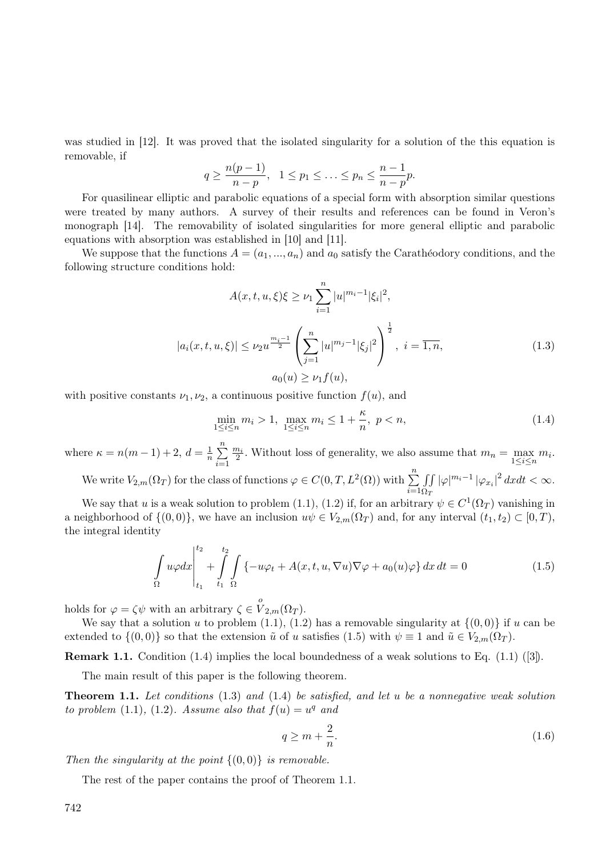was studied in [12]. It was proved that the isolated singularity for a solution of the this equation is removable, if

$$
q \ge \frac{n(p-1)}{n-p}, \quad 1 \le p_1 \le \ldots \le p_n \le \frac{n-1}{n-p}p.
$$

For quasilinear elliptic and parabolic equations of a special form with absorption similar questions were treated by many authors. A survey of their results and references can be found in Veron's monograph [14]. The removability of isolated singularities for more general elliptic and parabolic equations with absorption was established in [10] and [11].

We suppose that the functions  $A = (a_1, ..., a_n)$  and  $a_0$  satisfy the Carathéodory conditions, and the following structure conditions hold:

$$
A(x, t, u, \xi)\xi \ge \nu_1 \sum_{i=1}^n |u|^{m_i - 1} |\xi_i|^2,
$$
  

$$
|a_i(x, t, u, \xi)| \le \nu_2 u^{\frac{m_i - 1}{2}} \left(\sum_{j=1}^n |u|^{m_j - 1} |\xi_j|^2\right)^{\frac{1}{2}}, \ i = \overline{1, n},
$$
  

$$
a_0(u) \ge \nu_1 f(u),
$$
 (1.3)

with positive constants  $\nu_1, \nu_2$ , a continuous positive function  $f(u)$ , and

$$
\min_{1 \le i \le n} m_i > 1, \ \max_{1 \le i \le n} m_i \le 1 + \frac{\kappa}{n}, \ p < n,\tag{1.4}
$$

where  $\kappa = n(m-1) + 2, d = \frac{1}{n}$  $\frac{1}{n}$  $\sum_{n=1}^{n}$ *i*=1  $\frac{m_i}{2}$ . Without loss of generality, we also assume that  $m_n = \max_{1 \le i \le n} m_i$ .

We write  $V_{2,m}(\Omega_T)$  for the class of functions  $\varphi \in C(0,T,L^2(\Omega))$  with  $\sum^n$ *i*=1 ∫∫  $\Omega_T$  $|\varphi|^{m_i-1} |\varphi_{x_i}|^2 dx dt < \infty$ .

We say that *u* is a weak solution to problem (1.1), (1.2) if, for an arbitrary  $\psi \in C^1(\Omega_T)$  vanishing in a neighborhood of  $\{(0,0)\}\)$ , we have an inclusion  $u\psi \in V_{2,m}(\Omega_T)$  and, for any interval  $(t_1,t_2) \subset [0,T)$ , the integral identity

$$
\int_{\Omega} u\varphi dx \Big|_{t_1}^{t_2} + \int_{t_1}^{t_2} \int_{\Omega} \{-u\varphi_t + A(x, t, u, \nabla u) \nabla \varphi + a_0(u)\varphi\} dx dt = 0 \tag{1.5}
$$

holds for  $\varphi = \zeta \psi$  with an arbitrary  $\zeta \in \overset{o}{V}_{2,m}(\Omega_T)$ .

We say that a solution *u* to problem  $(1.1)$ ,  $(1.2)$  has a removable singularity at  $\{(0,0)\}$  if *u* can be extended to  $\{(0,0)\}$  so that the extension  $\tilde{u}$  of *u* satisfies (1.5) with  $\psi \equiv 1$  and  $\tilde{u} \in V_{2,m}(\Omega_T)$ .

**Remark 1.1.** Condition (1.4) implies the local boundedness of a weak solutions to Eq. (1.1) ([3]).

The main result of this paper is the following theorem.

**Theorem 1.1.** *Let conditions* (1.3) *and* (1.4) *be satisfied, and let u be a nonnegative weak solution to problem* (1.1), (1.2)*.* Assume also that  $f(u) = u^q$  and

$$
q \ge m + \frac{2}{n}.\tag{1.6}
$$

*Then the singularity at the point*  $\{(0,0)\}\$  *is removable.* 

The rest of the paper contains the proof of Theorem 1.1.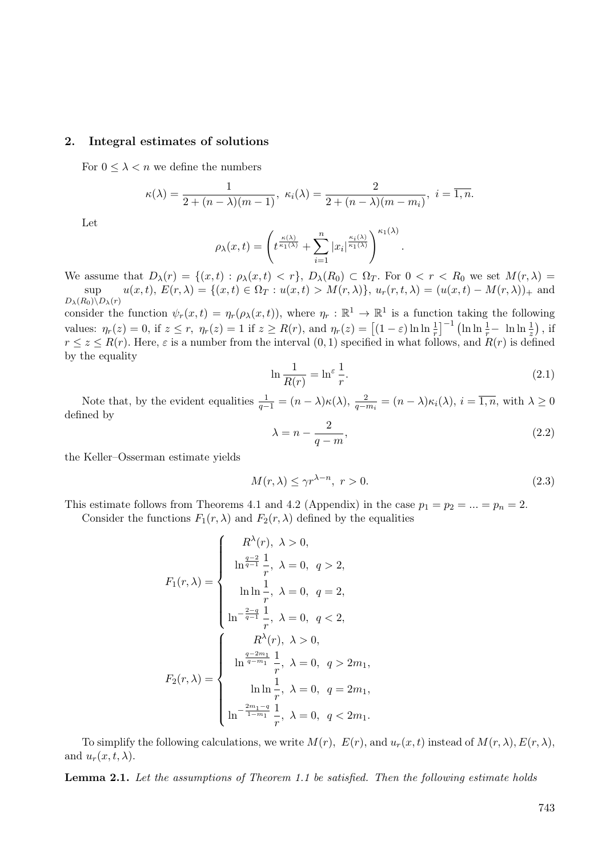#### **2. Integral estimates of solutions**

For  $0 \leq \lambda < n$  we define the numbers

$$
\kappa(\lambda) = \frac{1}{2 + (n - \lambda)(m - 1)}, \ \kappa_i(\lambda) = \frac{2}{2 + (n - \lambda)(m - m_i)}, \ i = \overline{1, n}.
$$

Let

$$
\rho_{\lambda}(x,t) = \left(t^{\frac{\kappa(\lambda)}{\kappa_1(\lambda)}} + \sum_{i=1}^{n} |x_i|^{\frac{\kappa_i(\lambda)}{\kappa_1(\lambda)}}\right)^{\kappa_1(\lambda)}
$$

We assume that  $D_{\lambda}(r) = \{(x, t) : \rho_{\lambda}(x, t) < r\}, D_{\lambda}(R_0) \subset \Omega_T$ . For  $0 < r < R_0$  we set  $M(r, \lambda) =$ sup  $u(x,t), E(r,\lambda) = \{(x,t) \in \Omega_T : u(x,t) > M(r,\lambda)\}, u_r(r,t,\lambda) = (u(x,t) - M(r,\lambda))_{+}$  and  $D_{\lambda}(R_0)\backslash D_{\lambda}(r)$ 

consider the function  $\psi_r(x,t) = \eta_r(\rho_\lambda(x,t))$ , where  $\eta_r : \mathbb{R}^1 \to \mathbb{R}^1$  is a function taking the following values:  $\eta_r(z) = 0$ , if  $z \le r$ ,  $\eta_r(z) = 1$  if  $z \ge R(r)$ , and  $\eta_r(z) = \left[ (1 - \varepsilon) \ln \ln \frac{1}{r} \right]^{-1} \left( \ln \ln \frac{1}{r} - \ln \ln \frac{1}{z} \right)$ , if  $r \leq z \leq R(r)$ . Here,  $\varepsilon$  is a number from the interval  $(0,1)$  specified in what follows, and  $R(r)$  is defined by the equality

$$
\ln \frac{1}{R(r)} = \ln^{\varepsilon} \frac{1}{r}.\tag{2.1}
$$

*.*

Note that, by the evident equalities  $\frac{1}{q-1} = (n - \lambda)\kappa(\lambda)$ ,  $\frac{2}{q-1}$  $\frac{2}{q - m_i} = (n - \lambda) \kappa_i(\lambda), i = 1, n$ , with  $\lambda \geq 0$ defined by

$$
\lambda = n - \frac{2}{q - m},\tag{2.2}
$$

the Keller–Osserman estimate yields

$$
M(r,\lambda) \le \gamma r^{\lambda - n}, \ r > 0. \tag{2.3}
$$

This estimate follows from Theorems 4.1 and 4.2 (Appendix) in the case  $p_1 = p_2 = ... = p_n = 2$ .

Consider the functions  $F_1(r, \lambda)$  and  $F_2(r, \lambda)$  defined by the equalities

$$
F_1(r,\lambda) = \begin{cases} R^{\lambda}(r), \ \lambda > 0, \\ \ln^{\frac{q-2}{q-1}} \frac{1}{r}, \ \lambda = 0, \ q > 2, \\ \ln \ln \frac{1}{r}, \ \lambda = 0, \ q = 2, \\ \ln^{-\frac{2-q}{q-1}} \frac{1}{r}, \ \lambda = 0, \ q < 2, \\ \ln^{\frac{q-2m_1}{q-m_1}} \frac{1}{r}, \ \lambda = 0, \ q > 2m_1, \\ \ln \ln \frac{1}{r}, \ \lambda = 0, \ q = 2m_1, \\ \ln^{-\frac{2m_1-q}{1-m_1}} \frac{1}{r}, \ \lambda = 0, \ q = 2m_1, \\ \ln^{-\frac{2m_1-q}{1-m_1}} \frac{1}{r}, \ \lambda = 0, \ q < 2m_1. \end{cases}
$$

To simplify the following calculations, we write  $M(r)$ ,  $E(r)$ , and  $u_r(x,t)$  instead of  $M(r,\lambda), E(r,\lambda)$ , and  $u_r(x, t, \lambda)$ .

**Lemma 2.1.** *Let the assumptions of Theorem 1.1 be satisfied. Then the following estimate holds*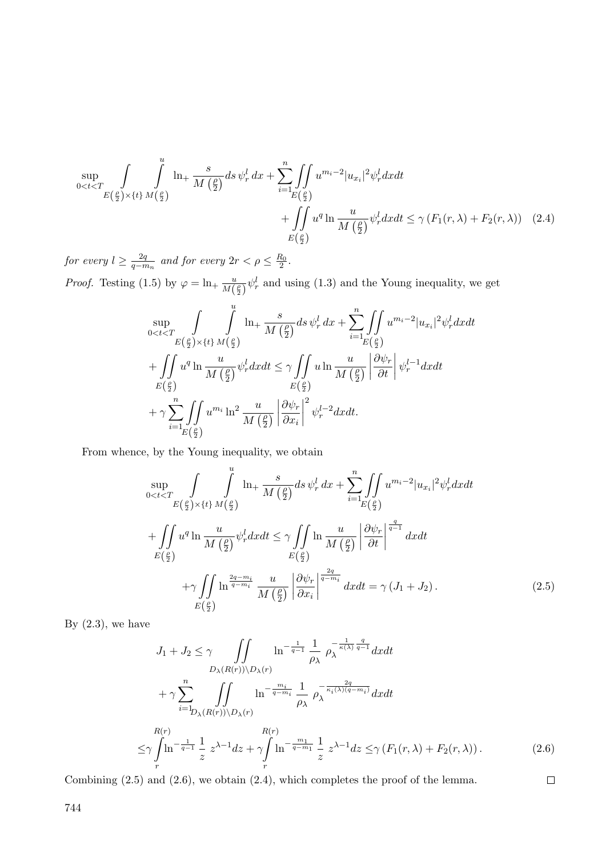$$
\sup_{0
$$

*for every*  $l \geq \frac{2q}{q-n}$  $\frac{2q}{q - m_n}$  and for every  $2r < \rho \leq \frac{R_0}{2}$ .

*Proof.* Testing (1.5) by  $\varphi = \ln_+ \frac{u}{M}$  $\frac{u}{M(\frac{\rho}{2})}\psi_r^l$  and using (1.3) and the Young inequality, we get

$$
\sup_{0
$$

From whence, by the Young inequality, we obtain

$$
\sup_{0\n
$$
+ \int_{E(\frac{\rho}{2})} u^{q} \ln \frac{u}{M(\frac{\rho}{2})} \psi_{r}^{l} dx dt \leq \gamma \int_{E(\frac{\rho}{2})} \ln \frac{u}{M(\frac{\rho}{2})} \left| \frac{\partial \psi_{r}}{\partial t} \right|^{q} \frac{1}{q-1} dx dt
$$
\n
$$
+ \gamma \int_{E(\frac{\rho}{2})} \ln \frac{\frac{2q-m_{i}}{q-m_{i}}}{M(\frac{\rho}{2})} \frac{u}{\left| \frac{\partial \psi_{r}}{\partial x_{i}} \right|^{q-m_{i}}} dx dt = \gamma (J_{1} + J_{2}). \tag{2.5}
$$
$$

By  $(2.3)$ , we have

$$
J_1 + J_2 \leq \gamma \int \int \int \ln^{-\frac{1}{q-1}} \frac{1}{\rho_{\lambda}} \rho_{\lambda}^{-\frac{1}{\kappa(\lambda)}\frac{q}{q-1}} dx dt
$$
  
\n
$$
+ \gamma \sum_{i=1}^n \int \int \ln^{-\frac{m_i}{q-m_i}} \frac{1}{\rho_{\lambda}} \rho_{\lambda}^{-\frac{2q}{\kappa_i(\lambda)(q-m_i)}} dx dt
$$
  
\n
$$
\leq \gamma \int \ln^{-\frac{1}{q-1}} \frac{1}{z} z^{\lambda-1} dz + \gamma \int \ln^{-\frac{m_1}{q-m_1}} \frac{1}{z} z^{\lambda-1} dz \leq \gamma (F_1(r, \lambda) + F_2(r, \lambda)).
$$
 (2.6)

 $\Box$ 

Combining (2.5) and (2.6), we obtain (2.4), which completes the proof of the lemma.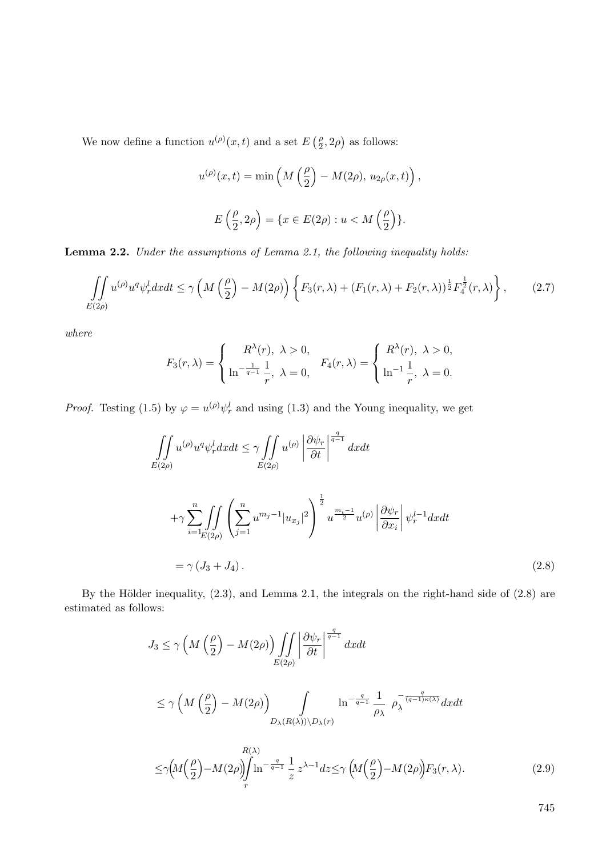We now define a function  $u^{(\rho)}(x,t)$  and a set  $E\left(\frac{\rho}{2}\right)$  $\frac{\rho}{2}$ , 2 $\rho$ ) as follows:

$$
u^{(\rho)}(x,t) = \min\left(M\left(\frac{\rho}{2}\right) - M(2\rho), u_{2\rho}(x,t)\right),
$$
  

$$
E\left(\frac{\rho}{2}, 2\rho\right) = \{x \in E(2\rho) : u < M\left(\frac{\rho}{2}\right)\}.
$$

**Lemma 2.2.** *Under the assumptions of Lemma 2.1, the following inequality holds:*

$$
\iint_{E(2\rho)} u^{(\rho)} u^q \psi_r^l dx dt \le \gamma \left( M \left( \frac{\rho}{2} \right) - M(2\rho) \right) \left\{ F_3(r, \lambda) + (F_1(r, \lambda) + F_2(r, \lambda))^{\frac{1}{2}} F_4^{\frac{1}{2}}(r, \lambda) \right\},\tag{2.7}
$$

*where*

$$
F_3(r,\lambda) = \begin{cases} R^{\lambda}(r), & \lambda > 0, \\ \ln^{-\frac{1}{q-1}} \frac{1}{r}, & \lambda = 0, \end{cases} \quad F_4(r,\lambda) = \begin{cases} R^{\lambda}(r), & \lambda > 0, \\ \ln^{-1} \frac{1}{r}, & \lambda = 0. \end{cases}
$$

*Proof.* Testing (1.5) by  $\varphi = u^{(\rho)} \psi_r^l$  and using (1.3) and the Young inequality, we get

$$
\iint_{E(2\rho)} u^{(\rho)} u^q \psi_r^l dx dt \leq \gamma \iint_{E(2\rho)} u^{(\rho)} \left| \frac{\partial \psi_r}{\partial t} \right|^{\frac{q}{q-1}} dx dt
$$
  
+
$$
\gamma \sum_{i=1}^n \iint_{E(2\rho)} \left( \sum_{j=1}^n u^{m_j - 1} |u_{x_j}|^2 \right)^{\frac{1}{2}} u^{\frac{m_i - 1}{2}} u^{(\rho)} \left| \frac{\partial \psi_r}{\partial x_i} \right| \psi_r^{l-1} dx dt
$$
  
=
$$
\gamma (J_3 + J_4).
$$
 (2.8)

By the Hölder inequality,  $(2.3)$ , and Lemma 2.1, the integrals on the right-hand side of  $(2.8)$  are estimated as follows:

$$
J_3 \le \gamma \left( M \left( \frac{\rho}{2} \right) - M(2\rho) \right) \iint_{E(2\rho)} \left| \frac{\partial \psi_r}{\partial t} \right|^{q-1} dx dt
$$
  
\n
$$
\le \gamma \left( M \left( \frac{\rho}{2} \right) - M(2\rho) \right) \int_{D_{\lambda}(R(\lambda)) \setminus D_{\lambda}(r)} \ln^{-\frac{q}{q-1}} \frac{1}{\rho_{\lambda}} \rho_{\lambda}^{-\frac{q}{(q-1)\kappa(\lambda)}} dx dt
$$
  
\n
$$
D_{\lambda}(R(\lambda)) \setminus D_{\lambda}(r)
$$
  
\n
$$
\le \gamma \left( M \left( \frac{\rho}{2} \right) - M(2\rho) \right) \int_{r} \ln^{-\frac{q}{q-1}} \frac{1}{z} z^{\lambda - 1} dz \le \gamma \left( M \left( \frac{\rho}{2} \right) - M(2\rho) \right) F_3(r, \lambda).
$$
 (2.9)

745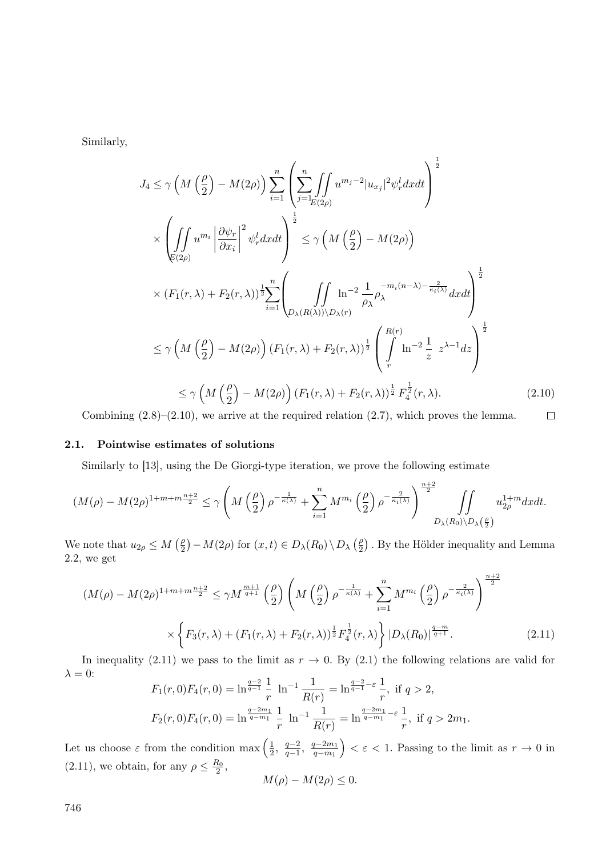Similarly,

$$
J_4 \leq \gamma \left( M \left( \frac{\rho}{2} \right) - M(2\rho) \right) \sum_{i=1}^n \left( \sum_{j=\lfloor p/2 \rfloor}^n \int_{\mathcal{U}^{m_j-2} |u_{x_j}|^2 \psi_r^l dx dt \right)^{\frac{1}{2}}
$$
  
\n
$$
\times \left( \iint_{\mathfrak{E}(2\rho)} u^{m_i} \left| \frac{\partial \psi_r}{\partial x_i} \right|^2 \psi_r^l dx dt \right)^{\frac{1}{2}} \leq \gamma \left( M \left( \frac{\rho}{2} \right) - M(2\rho) \right)
$$
  
\n
$$
\times (F_1(r, \lambda) + F_2(r, \lambda))^{\frac{1}{2}} \sum_{i=1}^n \left( \iint_{D_{\lambda}(R(\lambda)) \setminus D_{\lambda}(r)} \ln^{-2} \frac{1}{\rho_{\lambda}} \rho_{\lambda}^{-m_i(n-\lambda) - \frac{2}{\kappa_i(\lambda)}} dx dt \right)^{\frac{1}{2}}
$$
  
\n
$$
\leq \gamma \left( M \left( \frac{\rho}{2} \right) - M(2\rho) \right) (F_1(r, \lambda) + F_2(r, \lambda))^{\frac{1}{2}} \left( \int_r^{R(r)} \ln^{-2} \frac{1}{z} z^{\lambda - 1} dz \right)^{\frac{1}{2}}
$$
  
\n
$$
\leq \gamma \left( M \left( \frac{\rho}{2} \right) - M(2\rho) \right) (F_1(r, \lambda) + F_2(r, \lambda))^{\frac{1}{2}} F_{\frac{1}{4}}^{\frac{1}{2}}(r, \lambda).
$$
 (2.10)

Combining  $(2.8)$ – $(2.10)$ , we arrive at the required relation  $(2.7)$ , which proves the lemma.  $\Box$ 

#### **2.1. Pointwise estimates of solutions**

Similarly to [13], using the De Giorgi-type iteration, we prove the following estimate

$$
(M(\rho)-M(2\rho)^{1+m+m}\frac{n+2}{2}\leq \gamma \left(M\left(\frac{\rho}{2}\right)\rho^{-\frac{1}{\kappa(\lambda)}}+\sum_{i=1}^n M^{m_i}\left(\frac{\rho}{2}\right)\rho^{-\frac{2}{\kappa_i(\lambda)}}\right)^{\frac{n+2}{2}}\iint_{D_\lambda(R_0)\backslash D_\lambda\left(\frac{\rho}{2}\right)}u_{2\rho}^{1+m}dxdt.
$$

We note that  $u_{2\rho} \leq M\left(\frac{\rho}{2}\right)$  $\left(\frac{\rho}{2}\right) - M(2\rho)$  for  $(x, t) \in D_{\lambda}(R_0) \setminus D_{\lambda}(\frac{\rho}{2})$  $\binom{p}{2}$ . By the Hölder inequality and Lemma 2.2, we get

$$
(M(\rho) - M(2\rho)^{1+m+m}\frac{n+2}{2} \le \gamma M^{\frac{m+1}{q+1}} \left(\frac{\rho}{2}\right) \left(M\left(\frac{\rho}{2}\right) \rho^{-\frac{1}{\kappa(\lambda)}} + \sum_{i=1}^{n} M^{m_i} \left(\frac{\rho}{2}\right) \rho^{-\frac{2}{\kappa_i(\lambda)}}\right)^{\frac{n+2}{2}} \times \left\{F_3(r,\lambda) + (F_1(r,\lambda) + F_2(r,\lambda))^{\frac{1}{2}} F_4^{\frac{1}{2}}(r,\lambda)\right\} |D_\lambda(R_0)|^{\frac{q-m}{q+1}}.
$$
\n(2.11)

In inequality (2.11) we pass to the limit as  $r \to 0$ . By (2.1) the following relations are valid for  $\lambda = 0$ :  $\overline{1}$ 

$$
F_1(r,0)F_4(r,0) = \ln^{\frac{q-2}{q-1}} \frac{1}{r} \ln^{-1} \frac{1}{R(r)} = \ln^{\frac{q-2}{q-1}-\varepsilon} \frac{1}{r}, \text{ if } q > 2,
$$
  

$$
F_2(r,0)F_4(r,0) = \ln^{\frac{q-2m_1}{q-m_1}} \frac{1}{r} \ln^{-1} \frac{1}{R(r)} = \ln^{\frac{q-2m_1}{q-m_1}-\varepsilon} \frac{1}{r}, \text{ if } q > 2m_1.
$$

Let us choose  $\varepsilon$  from the condition max  $\left(\frac{1}{2}\right)$  $\frac{1}{2}$ ,  $\frac{q-2}{q-1}$ *q*<sup>−2</sup>, *q*<sup>−2*m*<sub>1</sub></sup><br>*q*−*m*<sub>1</sub>  $\left(\frac{q-2m_1}{q-m_1}\right) < \varepsilon < 1$ . Passing to the limit as  $r \to 0$  in  $(2.11)$ , we obtain, for any  $\rho \leq \frac{R_0}{2}$ ,

$$
M(\rho) - M(2\rho) \le 0.
$$

746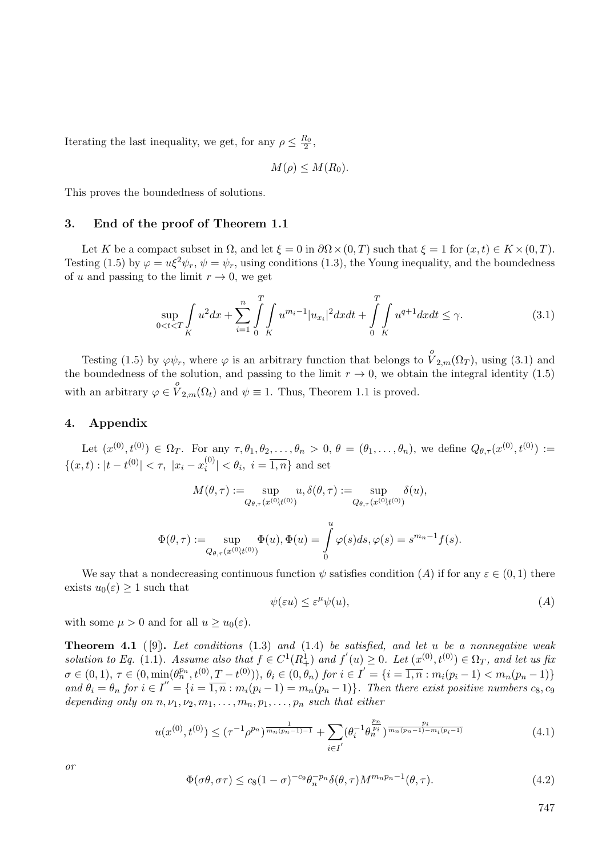Iterating the last inequality, we get, for any  $\rho \leq \frac{R_0}{2}$ ,

$$
M(\rho) \leq M(R_0).
$$

This proves the boundedness of solutions.

#### **3. End of the proof of Theorem 1.1**

Let *K* be a compact subset in  $\Omega$ , and let  $\xi = 0$  in  $\partial \Omega \times (0,T)$  such that  $\xi = 1$  for  $(x,t) \in K \times (0,T)$ . Testing (1.5) by  $\varphi = u\xi^2\psi_r$ ,  $\psi = \psi_r$ , using conditions (1.3), the Young inequality, and the boundedness of *u* and passing to the limit  $r \to 0$ , we get

$$
\sup_{0 < t < T} \int_{K} u^2 dx + \sum_{i=1}^{n} \int_{0}^{T} \int_{K} u^{m_i - 1} |u_{x_i}|^2 dx dt + \int_{0}^{T} \int_{K} u^{q+1} dx dt \le \gamma. \tag{3.1}
$$

Testing (1.5) by  $\varphi \psi_r$ , where  $\varphi$  is an arbitrary function that belongs to  $\overset{o}{V}_{2,m}(\Omega_T)$ , using (3.1) and the boundedness of the solution, and passing to the limit  $r \to 0$ , we obtain the integral identity (1.5) with an arbitrary  $\varphi \in V_{2,m}(\Omega_t)$  and  $\psi \equiv 1$ . Thus, Theorem 1.1 is proved.

### **4. Appendix**

Let  $(x^{(0)},t^{(0)}) \in \Omega_T$ . For any  $\tau,\theta_1,\theta_2,\ldots,\theta_n > 0$ ,  $\theta = (\theta_1,\ldots,\theta_n)$ , we define  $Q_{\theta,\tau}(x^{(0)},t^{(0)}) :=$  ${(x, t) : |t - t^{(0)}| < \tau, |x_i - x_i^{(0)}|}$  $|i^{(0)}| < \theta_i, i = 1, n$  and set

$$
M(\theta, \tau):=\sup_{Q_{\theta,\tau}(x^{(0)}t^{(0)})}u, \delta(\theta, \tau):=\sup_{Q_{\theta,\tau}(x^{(0)}t^{(0)})}\delta(u),
$$

$$
\Phi(\theta, \tau) := \sup_{Q_{\theta, \tau}(x^{(0)}, t^{(0)})} \Phi(u), \Phi(u) = \int_{0}^{u} \varphi(s) ds, \varphi(s) = s^{m_n - 1} f(s).
$$

We say that a nondecreasing continuous function  $\psi$  satisfies condition  $(A)$  if for any  $\varepsilon \in (0,1)$  there exists  $u_0(\varepsilon) \geq 1$  such that

$$
\psi(\varepsilon u) \le \varepsilon^{\mu} \psi(u),\tag{A}
$$

with some  $\mu > 0$  and for all  $u \geq u_0(\varepsilon)$ .

**Theorem 4.1** ( [9])**.** *Let conditions* (1.3) *and* (1.4) *be satisfied, and let u be a nonnegative weak* solution to Eq. (1.1). Assume also that  $f \in C^1(R^1_+)$  and  $f'(u) \geq 0$ . Let  $(x^{(0)}, t^{(0)}) \in \Omega_T$ , and let us fix  $\sigma \in (0,1), \tau \in (0, \min(\theta_n^{p_n}, t^{(0)}, T - t^{(0)})), \theta_i \in (0, \theta_n) \text{ for } i \in I' = \{i = \overline{1,n} : m_i(p_i-1) < m_n(p_n-1)\}\$ and  $\theta_i = \theta_n$  for  $i \in I'' = \{i = \overline{1,n} : m_i(p_i-1) = m_n(p_n-1)\}\$ . Then there exist positive numbers  $c_8, c_9$ *depending only on*  $n, \nu_1, \nu_2, m_1, \ldots, m_n, p_1, \ldots, p_n$  *such that either* 

$$
u(x^{(0)},t^{(0)}) \leq (\tau^{-1}\rho^{p_n})^{\frac{1}{m_n(p_n-1)-1}} + \sum_{i \in I'} (\theta_i^{-1}\theta_n^{\frac{p_n}{p_i}})^{\frac{p_i}{m_n(p_n-1)-m_i(p_i-1)}} \tag{4.1}
$$

*or*

$$
\Phi(\sigma\theta, \sigma\tau) \le c_8(1-\sigma)^{-c_9}\theta_n^{-p_n}\delta(\theta, \tau)M^{m_np_n-1}(\theta, \tau). \tag{4.2}
$$

747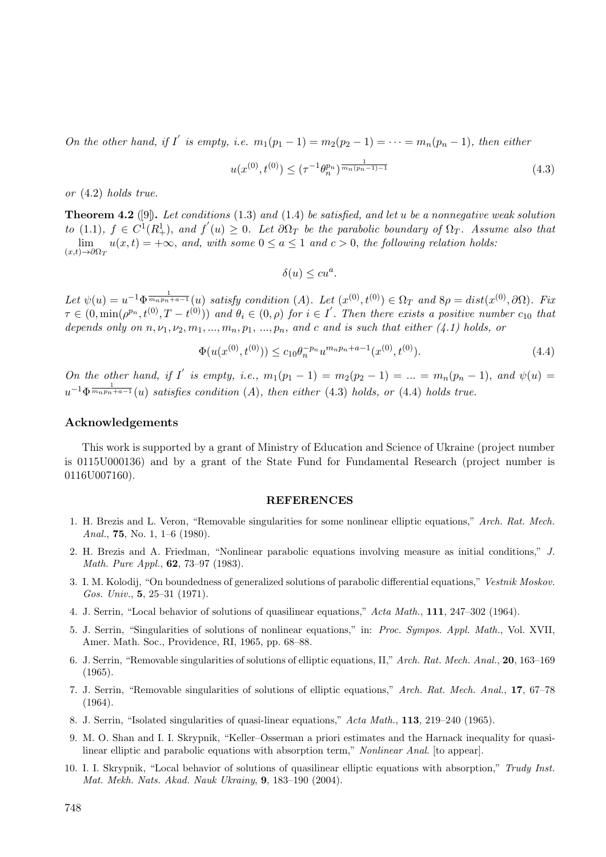*On the other hand, if I' is empty, i.e.*  $m_1(p_1 - 1) = m_2(p_2 - 1) = \cdots = m_n(p_n - 1)$ *, then either* 

$$
u(x^{(0)}, t^{(0)}) \le (\tau^{-1} \theta_n^{p_n})^{\frac{1}{mn(p_n - 1) - 1}} \tag{4.3}
$$

*or* (4.2) *holds true.*

**Theorem 4.2** ([9])**.** *Let conditions* (1.3) *and* (1.4) *be satisfied, and let u be a nonnegative weak solution to* (1.1),  $f \in C^1(R_+^1)$ , and  $f'(u) \geq 0$ . Let  $\partial \Omega_T$  be the parabolic boundary of  $\Omega_T$ . Assume also that  $\binom{1}{+}$ *,* and  $f$ lim  $\lim_{(x,t)\to\partial\Omega_T} u(x,t) = +\infty$ , and, with some  $0 \le a \le 1$  and  $c > 0$ , the following relation holds:

$$
\delta(u) \le cu^a.
$$

Let  $\psi(u) = u^{-1} \Phi^{\frac{1}{m_n p_n + a - 1}}(u)$  satisfy condition (A). Let  $(x^{(0)}, t^{(0)}) \in \Omega_T$  and  $8\rho = dist(x^{(0)}, \partial \Omega)$ . Fix  $\tau \in (0, \min(\rho^{p_n}, t^{(0)}, T - t^{(0)}))$  and  $\theta_i \in (0, \rho)$  for  $i \in I'$ . Then there exists a positive number  $c_{10}$  that *depends only on*  $n, \nu_1, \nu_2, m_1, \ldots, m_n, p_1, \ldots, p_n$ *, and c and is such that either (4.1) holds, or* 

$$
\Phi(u(x^{(0)}, t^{(0)})) \le c_{10} \theta_n^{-p_n} u^{m_n p_n + a - 1}(x^{(0)}, t^{(0)}).
$$
\n(4.4)

On the other hand, if I' is empty, i.e.,  $m_1(p_1 - 1) = m_2(p_2 - 1) = ... = m_n(p_n - 1)$ , and  $\psi(u) =$  $u^{-1}\Phi^{\frac{1}{m_np_n+a-1}}(u)$  *satisfies condition* (*A*)*, then either* (4.3) *holds, or* (4.4) *holds true.* 

#### **Acknowledgements**

This work is supported by a grant of Ministry of Education and Science of Ukraine (project number is 0115U000136) and by a grant of the State Fund for Fundamental Research (project number is 0116U007160).

#### **REFERENCES**

- 1. H. Brezis and L. Veron, "Removable singularities for some nonlinear elliptic equations," *Arch. Rat. Mech. Anal.*, **75**, No. 1, 1–6 (1980).
- 2. H. Brezis and A. Friedman, "Nonlinear parabolic equations involving measure as initial conditions," *J. Math. Pure Appl.*, **62**, 73–97 (1983).
- 3. I. M. Kolodij, "On boundedness of generalized solutions of parabolic differential equations," *Vestnik Moskov. Gos. Univ.*, **5**, 25–31 (1971).
- 4. J. Serrin, "Local behavior of solutions of quasilinear equations," *Acta Math.*, **111**, 247–302 (1964).
- 5. J. Serrin, "Singularities of solutions of nonlinear equations," in: *Proc. Sympos. Appl. Math.*, Vol. XVII, Amer. Math. Soc., Providence, RI, 1965, pp. 68–88.
- 6. J. Serrin, "Removable singularities of solutions of elliptic equations, II," *Arch. Rat. Mech. Anal.*, **20**, 163–169 (1965).
- 7. J. Serrin, "Removable singularities of solutions of elliptic equations," *Arch. Rat. Mech. Anal.*, **17**, 67–78 (1964).
- 8. J. Serrin, "Isolated singularities of quasi-linear equations," *Acta Math.*, **113**, 219–240 (1965).
- 9. M. O. Shan and I. I. Skrypnik, "Keller–Osserman a priori estimates and the Harnack inequality for quasilinear elliptic and parabolic equations with absorption term," *Nonlinear Anal*. [to appear].
- 10. I. I. Skrypnik, "Local behavior of solutions of quasilinear elliptic equations with absorption," *Trudy Inst. Mat. Mekh. Nats. Akad. Nauk Ukrainy*, **9**, 183–190 (2004).